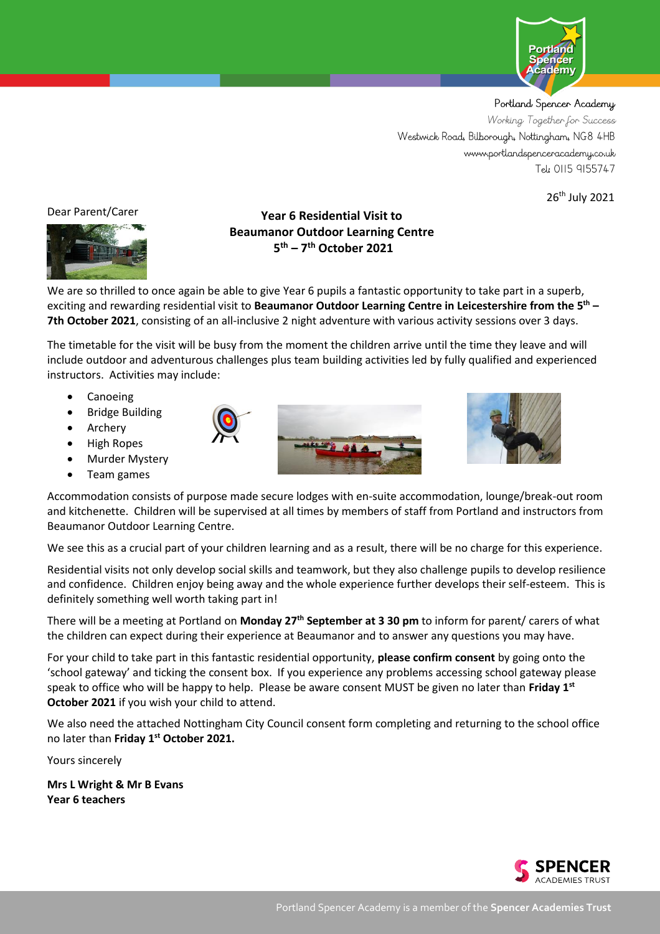

Portland Spencer Academy Working Together for Success Westwick Road, Bilborough, Nottingham, NG8 4HB www.portlandspenceracademy.co.uk Tel: 0115 9155747

26th July 2021

Dear Parent/Carer



# **Year 6 Residential Visit to Beaumanor Outdoor Learning Centre 5 th – 7 th October 2021**

We are so thrilled to once again be able to give Year 6 pupils a fantastic opportunity to take part in a superb, exciting and rewarding residential visit to **Beaumanor Outdoor Learning Centre in Leicestershire from the 5 th – 7th October 2021**, consisting of an all-inclusive 2 night adventure with various activity sessions over 3 days.

The timetable for the visit will be busy from the moment the children arrive until the time they leave and will include outdoor and adventurous challenges plus team building activities led by fully qualified and experienced instructors. Activities may include:

- **Canoeing**
- Bridge Building

• High Ropes **Murder Mystery** • Team games

**Archery** 





Accommodation consists of purpose made secure lodges with en-suite accommodation, lounge/break-out room and kitchenette. Children will be supervised at all times by members of staff from Portland and instructors from Beaumanor Outdoor Learning Centre.

We see this as a crucial part of your children learning and as a result, there will be no charge for this experience.

Residential visits not only develop social skills and teamwork, but they also challenge pupils to develop resilience and confidence. Children enjoy being away and the whole experience further develops their self-esteem. This is definitely something well worth taking part in!

There will be a meeting at Portland on **Monday 27th September at 3 30 pm** to inform for parent/ carers of what the children can expect during their experience at Beaumanor and to answer any questions you may have.

For your child to take part in this fantastic residential opportunity, **please confirm consent** by going onto the 'school gateway' and ticking the consent box. If you experience any problems accessing school gateway please speak to office who will be happy to help. Please be aware consent MUST be given no later than **Friday 1 st October 2021** if you wish your child to attend.

We also need the attached Nottingham City Council consent form completing and returning to the school office no later than **Friday 1st October 2021.**

Yours sincerely

**Mrs L Wright & Mr B Evans Year 6 teachers**

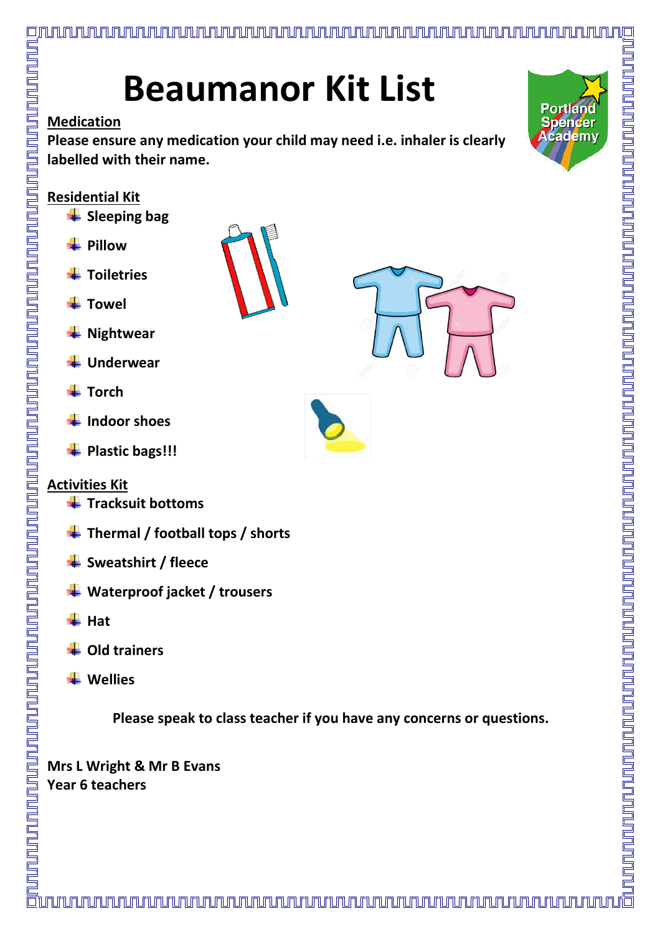# **Beaumanor Kit List**

# **Medication**

<u>LNUNUNUNUN</u>

**Please ensure any medication your child may need i.e. inhaler is clearly labelled with their name.**



# **Residential Kit**

- **Sleeping bag**
- **Pillow**
- **Toiletries**
- **Towel**
- **Nightwear**
- **Underwear**
- **Torch**
- **Indoor shoes**
- **Plastic bags!!!**

# **Activities Kit**

- **Tracksuit bottoms**
- **Thermal / football tops / shorts**
- **Sweatshirt / fleece**
- **Waterproof jacket / trousers**
- **Hat**
- **Old trainers**
- **Wellies**

**Please speak to class teacher if you have any concerns or questions.**

**Mrs L Wright & Mr B Evans Year 6 teachers**



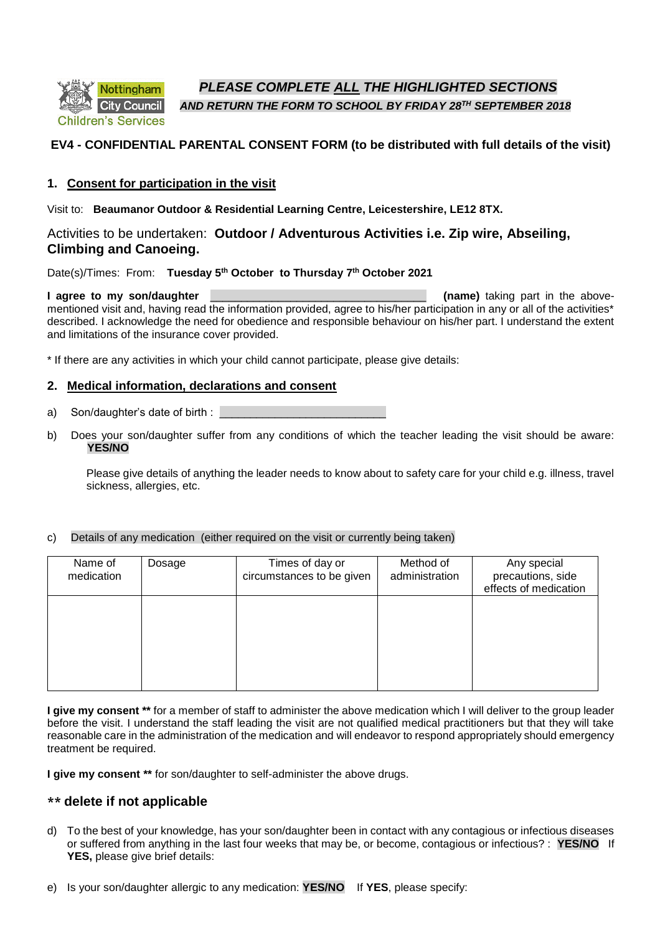:hildren's Services

*PLEASE COMPLETE ALL THE HIGHLIGHTED SECTIONS*

*AND RETURN THE FORM TO SCHOOL BY FRIDAY 28TH SEPTEMBER 2018*

# **EV4 - CONFIDENTIAL PARENTAL CONSENT FORM (to be distributed with full details of the visit)**

#### **1. Consent for participation in the visit**

Visit to: **Beaumanor Outdoor & Residential Learning Centre, Leicestershire, LE12 8TX.**

## Activities to be undertaken: **Outdoor / Adventurous Activities i.e. Zip wire, Abseiling, Climbing and Canoeing.**

Date(s)/Times: From: **Tuesday 5th October to Thursday 7th October 2021**

#### **I agree to my son/daughter <b>EXECUS Later and Solution** *CO* mentioned visit and, having read the information provided, agree to his/her participation in any or all of the activities\* described. I acknowledge the need for obedience and responsible behaviour on his/her part. I understand the extent and limitations of the insurance cover provided.

\* If there are any activities in which your child cannot participate, please give details:

## **2. Medical information, declarations and consent**

- a) Son/daughter's date of birth :
- b) Does your son/daughter suffer from any conditions of which the teacher leading the visit should be aware: **YES/NO**

Please give details of anything the leader needs to know about to safety care for your child e.g. illness, travel sickness, allergies, etc.

#### c) Details of any medication (either required on the visit or currently being taken)

| Name of<br>medication | Dosage | Times of day or<br>circumstances to be given | Method of<br>administration | Any special<br>precautions, side<br>effects of medication |
|-----------------------|--------|----------------------------------------------|-----------------------------|-----------------------------------------------------------|
|                       |        |                                              |                             |                                                           |
|                       |        |                                              |                             |                                                           |

**I give my consent \*\*** for a member of staff to administer the above medication which I will deliver to the group leader before the visit. I understand the staff leading the visit are not qualified medical practitioners but that they will take reasonable care in the administration of the medication and will endeavor to respond appropriately should emergency treatment be required.

**I give my consent \*\*** for son/daughter to self-administer the above drugs.

# **\*\* delete if not applicable**

d) To the best of your knowledge, has your son/daughter been in contact with any contagious or infectious diseases or suffered from anything in the last four weeks that may be, or become, contagious or infectious? : **YES/NO** If **YES,** please give brief details: